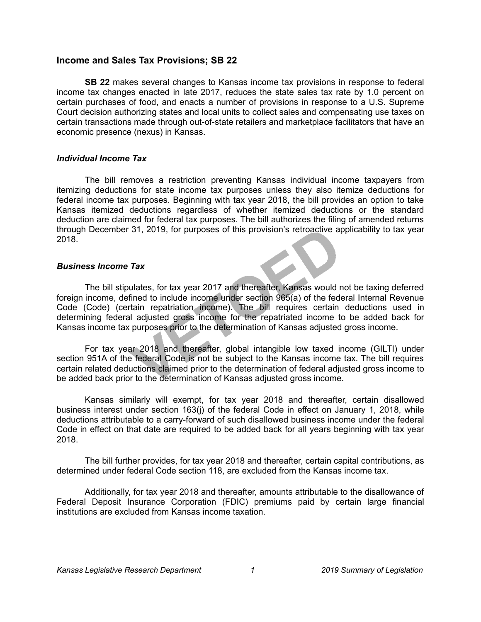# **Income and Sales Tax Provisions; SB 22**

**SB 22** makes several changes to Kansas income tax provisions in response to federal income tax changes enacted in late 2017, reduces the state sales tax rate by 1.0 percent on certain purchases of food, and enacts a number of provisions in response to a U.S. Supreme Court decision authorizing states and local units to collect sales and compensating use taxes on certain transactions made through out-of-state retailers and marketplace facilitators that have an economic presence (nexus) in Kansas.

#### *Individual Income Tax*

The bill removes a restriction preventing Kansas individual income taxpayers from itemizing deductions for state income tax purposes unless they also itemize deductions for federal income tax purposes. Beginning with tax year 2018, the bill provides an option to take Kansas itemized deductions regardless of whether itemized deductions or the standard deduction are claimed for federal tax purposes. The bill authorizes the filing of amended returns through December 31, 2019, for purposes of this provision's retroactive applicability to tax year 2018.

#### *Business Income Tax*

The bill stipulates, for tax year 2017 and thereafter, Kansas would not be taxing deferred foreign income, defined to include income under section 965(a) of the federal Internal Revenue Code (Code) (certain repatriation income). The bill requires certain deductions used in determining federal adjusted gross income for the repatriated income to be added back for Kansas income tax purposes prior to the determination of Kansas adjusted gross income.

For tax year 2018 and thereafter, global intangible low taxed income (GILTI) under section 951A of the federal Code is not be subject to the Kansas income tax. The bill requires certain related deductions claimed prior to the determination of federal adjusted gross income to be added back prior to the determination of Kansas adjusted gross income.

Kansas similarly will exempt, for tax year 2018 and thereafter, certain disallowed business interest under section 163(j) of the federal Code in effect on January 1, 2018, while deductions attributable to a carry-forward of such disallowed business income under the federal Code in effect on that date are required to be added back for all years beginning with tax year 2018.

The bill further provides, for tax year 2018 and thereafter, certain capital contributions, as determined under federal Code section 118, are excluded from the Kansas income tax.

Additionally, for tax year 2018 and thereafter, amounts attributable to the disallowance of Federal Deposit Insurance Corporation (FDIC) premiums paid by certain large financial institutions are excluded from Kansas income taxation.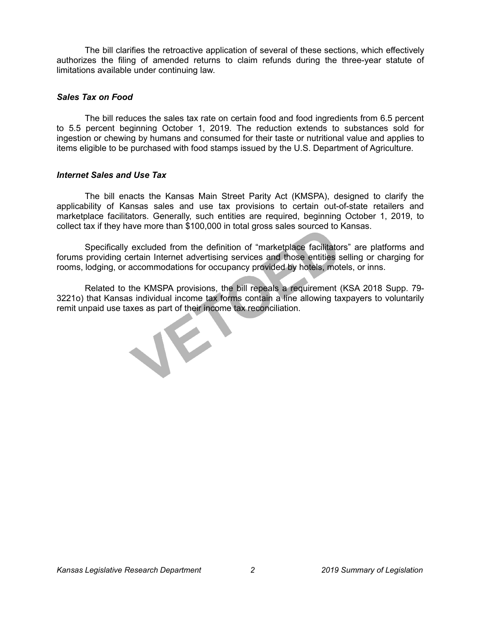The bill clarifies the retroactive application of several of these sections, which effectively authorizes the filing of amended returns to claim refunds during the three-year statute of limitations available under continuing law.

## *Sales Tax on Food*

The bill reduces the sales tax rate on certain food and food ingredients from 6.5 percent to 5.5 percent beginning October 1, 2019. The reduction extends to substances sold for ingestion or chewing by humans and consumed for their taste or nutritional value and applies to items eligible to be purchased with food stamps issued by the U.S. Department of Agriculture.

### *Internet Sales and Use Tax*

The bill enacts the Kansas Main Street Parity Act (KMSPA), designed to clarify the applicability of Kansas sales and use tax provisions to certain out-of-state retailers and marketplace facilitators. Generally, such entities are required, beginning October 1, 2019, to collect tax if they have more than \$100,000 in total gross sales sourced to Kansas.

Specifically excluded from the definition of "marketplace facilitators" are platforms and forums providing certain Internet advertising services and those entities selling or charging for rooms, lodging, or accommodations for occupancy provided by hotels, motels, or inns.

Related to the KMSPA provisions, the bill repeals a requirement (KSA 2018 Supp. 79- 3221o) that Kansas individual income tax forms contain a line allowing taxpayers to voluntarily remit unpaid use taxes as part of their income tax reconciliation.

JE